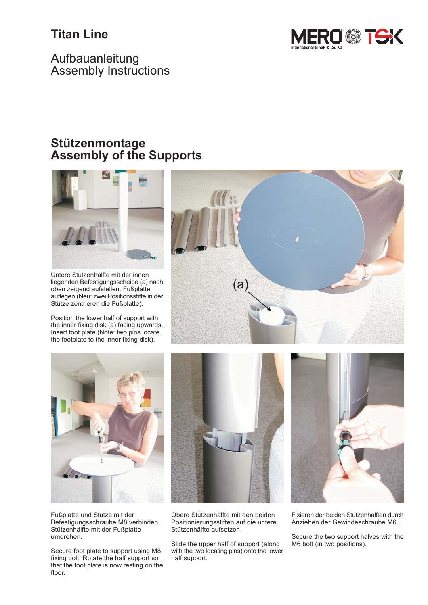## **Titan Line**



Aufbauanleitung **Assembly Instructions** 

### Stützenmontage **Assembly of the Supports**



Untere Stützenhälfte mit der innen liegenden Befestigungsscheibe (a) nach oben zeigend aufstellen. Fußplatte auflegen (Neu: zwei Positionsstifte in der Stütze zentrieren die Fußplatte).

Position the lower half of support with the inner fixing disk (a) facing upwards. Insert foot plate (Note: two pins locate the footplate to the inner fixing disk).





Fußplatte und Stütze mit der Befestigungsschraube M8 verbinden. Stützenhälfte mit der Fußplatte umdrehen.

Secure foot plate to support using M8 fixing bolt. Rotate the half support so that the foot plate is now resting on the floor.



Obere Stützenhälfte mit den beiden Positionierungsstiften auf die untere Stützenhälfte aufsetzen.

Slide the upper half of support (along with the two locating pins) onto the lower half support.



Fixieren der beiden Stützenhälften durch Anziehen der Gewindeschraube M6.

Secure the two support halves with the M6 bolt (in two positions).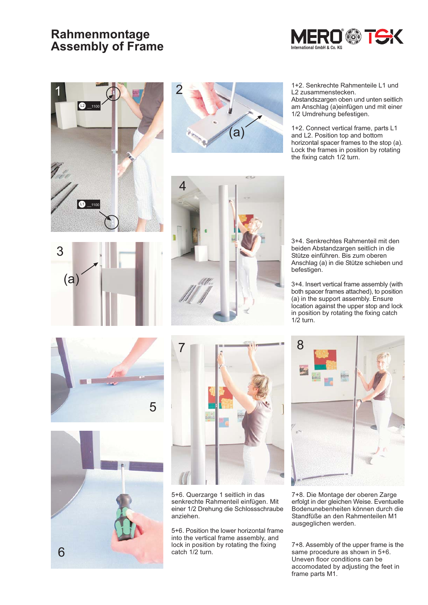## Rahmenmontage **Assembly of Frame**











3+4. Senkrechtes Rahmenteil mit den beiden Abstandzargen seitlich in die Stütze einführen. Bis zum oberen Anschlag (a) in die Stütze schieben und befestigen.

3+4. Insert vertical frame assembly (with both spacer frames attached), to position (a) in the support assembly. Ensure location against the upper stop and lock in position by rotating the fixing catch  $1/2$  turn.







5+6. Querzarge 1 seitlich in das senkrechte Rahmenteil einfügen. Mit einer 1/2 Drehung die Schlossschraube anziehen.

5+6. Position the lower horizontal frame into the vertical frame assembly, and lock in position by rotating the fixing catch 1/2 turn.



7+8. Die Montage der oberen Zarge erfolgt in der gleichen Weise. Eventuelle Bodenunebenheiten können durch die Standfüße an den Rahmenteilen M1 ausgeglichen werden.

7+8. Assembly of the upper frame is the same procedure as shown in 5+6. Uneven floor conditions can be accomodated by adjusting the feet in frame parts M1.

1+2. Senkrechte Rahmenteile L1 und L2 zusammenstecken.

Abstandszargen oben und unten seitlich am Anschlag (a) einfügen und mit einer 1/2 Umdrehung befestigen.

1+2. Connect vertical frame, parts L1 and L2. Position top and bottom horizontal spacer frames to the stop (a). Lock the frames in position by rotating the fixing catch 1/2 turn.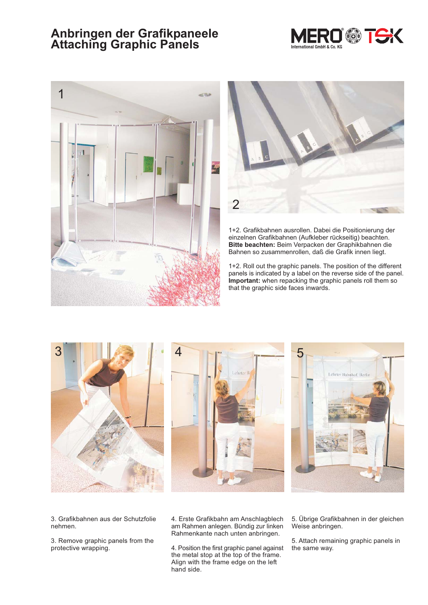## Anbringen der Grafikpaneele<br>Attaching Graphic Panels







1+2. Grafikbahnen ausrollen. Dabei die Positionierung der einzelnen Grafikbahnen (Aufkleber rückseitig) beachten. Bitte beachten: Beim Verpacken der Graphikbahnen die Bahnen so zusammenrollen, daß die Grafik innen liegt.

1+2. Roll out the graphic panels. The position of the different panels is indicated by a label on the reverse side of the panel. Important: when repacking the graphic panels roll them so that the graphic side faces inwards.



3. Grafikbahnen aus der Schutzfolie nehmen.

3. Remove graphic panels from the protective wrapping.

4. Erste Grafikbahn am Anschlagblech am Rahmen anlegen. Bündig zur linken Rahmenkante nach unten anbringen.

4. Position the first graphic panel against the metal stop at the top of the frame. Align with the frame edge on the left hand side.

5. Übrige Grafikbahnen in der gleichen Weise anbringen.

5. Attach remaining graphic panels in the same way.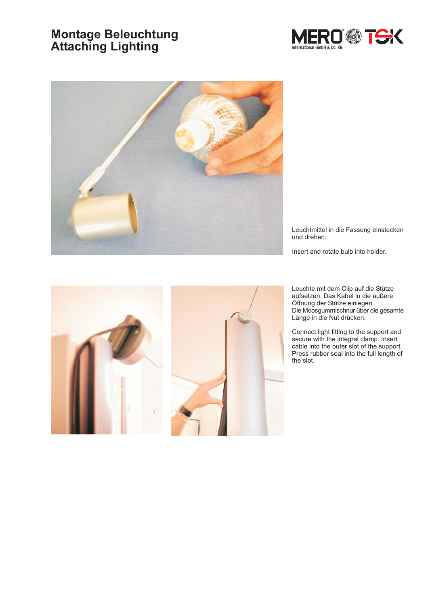# **Montage Beleuchtung<br>Attaching Lighting**





Leuchtmittel in die Fassung einstecken und drehen.

Insert and rotate bulb into holder.



Leuchte mit dem Clip auf die Stütze aufsetzen. Das Kabel in die äußere Öffnung der Stütze einlegen. Die Moosgummischnur über die gesamte Länge in die Nut drücken.

Connect light fitting to the support and secure with the integral clamp. Insert<br>cable into the outer slot of the support. Press rubber seal into the full length of the slot.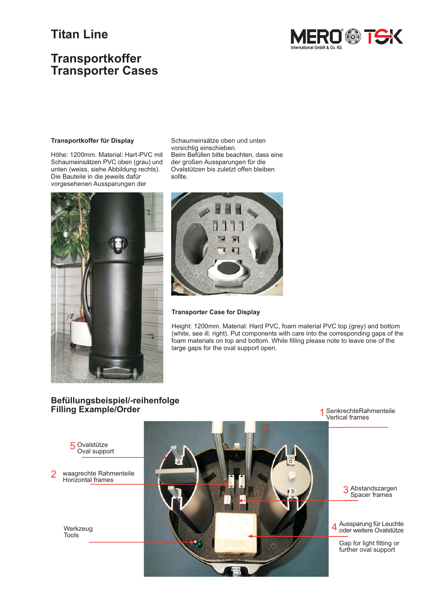## **Titan Line**

## **Transportkoffer Transporter Cases**



#### Transportkoffer für Display

Höhe: 1200mm. Material: Hart-PVC mit Schaumeinsätzen PVC oben (grau) und unten (weiss, siehe Abbildung rechts). Die Bauteile in die jeweils dafür vorgesehenen Aussparungen der



Schaumeinsätze oben und unten vorsichtig einschieben. Beim Befüllen bitte beachten, dass eine der großen Aussparungen für die Ovalstützen bis zuletzt offen bleiben sollte



#### **Transporter Case for Display**

Height: 1200mm. Material: Hard PVC, foam material PVC top (grey) and bottom (white, see ill. right). Put components with care into the corresponding gaps of the foam materials on top and bottom. While filling please note to leave one of the large gaps for the oval support open.

#### Befüllungsbeispiel/-reihenfolge **Filling Example/Order**

SenkrechteRahmenteile<br>Vertical frames 1